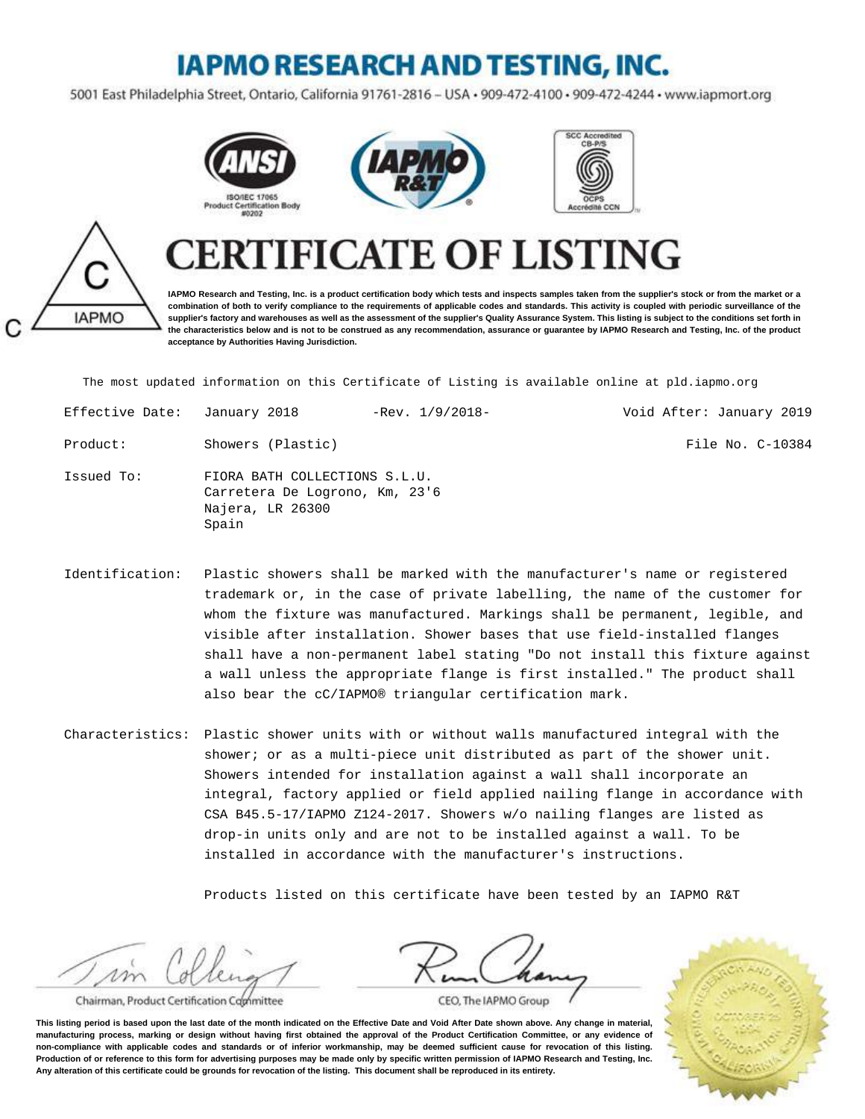## **IAPMO RESEARCH AND TESTING, INC.**

5001 East Philadelphia Street, Ontario, California 91761-2816 - USA · 909-472-4100 · 909-472-4244 · www.iapmort.org



**acceptance by Authorities Having Jurisdiction.**





## **IAPMO**

**IAPMO Research and Testing, Inc. is a product certification body which tests and inspects samples taken from the supplier's stock or from the market or a combination of both to verify compliance to the requirements of applicable codes and standards. This activity is coupled with periodic surveillance of the supplier's factory and warehouses as well as the assessment of the supplier's Quality Assurance System. This listing is subject to the conditions set forth in the characteristics below and is not to be construed as any recommendation, assurance or guarantee by IAPMO Research and Testing, Inc. of the product**

**FICATE OF LISTING** 

The most updated information on this Certificate of Listing is available online at pld.iapmo.org

| Effective Date: January 2018 |                                                                                              | $-Rev. 1/9/2018-$ | Void After: January 2019 |
|------------------------------|----------------------------------------------------------------------------------------------|-------------------|--------------------------|
| Product:                     | Showers (Plastic)                                                                            |                   | File No. C-10384         |
| Issued To:                   | FIORA BATH COLLECTIONS S.L.U.<br>Carretera De Logrono, Km, 23'6<br>Najera, LR 26300<br>Spain |                   |                          |

- Identification: Plastic showers shall be marked with the manufacturer's name or registered trademark or, in the case of private labelling, the name of the customer for whom the fixture was manufactured. Markings shall be permanent, legible, and visible after installation. Shower bases that use field-installed flanges shall have a non-permanent label stating "Do not install this fixture against a wall unless the appropriate flange is first installed." The product shall also bear the cC/IAPMO® triangular certification mark.
- Characteristics: Plastic shower units with or without walls manufactured integral with the shower; or as a multi-piece unit distributed as part of the shower unit. Showers intended for installation against a wall shall incorporate an integral, factory applied or field applied nailing flange in accordance with CSA B45.5-17/IAPMO Z124-2017. Showers w/o nailing flanges are listed as drop-in units only and are not to be installed against a wall. To be installed in accordance with the manufacturer's instructions.

Products listed on this certificate have been tested by an IAPMO R&T

 $\n *10*\n$ 

Chairman, Product Certification Committee

CEO, The IAPMO Group

**This listing period is based upon the last date of the month indicated on the Effective Date and Void After Date shown above. Any change in material, manufacturing process, marking or design without having first obtained the approval of the Product Certification Committee, or any evidence of non-compliance with applicable codes and standards or of inferior workmanship, may be deemed sufficient cause for revocation of this listing. Production of or reference to this form for advertising purposes may be made only by specific written permission of IAPMO Research and Testing, Inc. Any alteration of this certificate could be grounds for revocation of the listing. This document shall be reproduced in its entirety.**

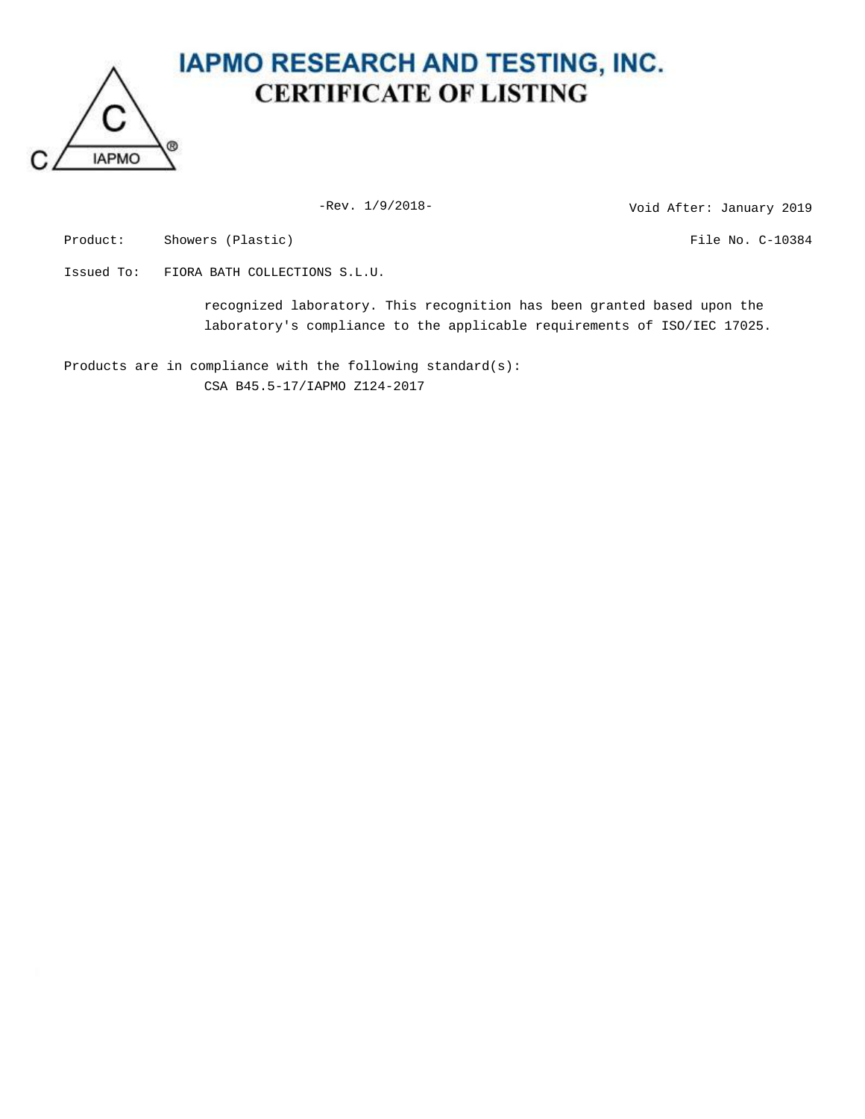

## **IAPMO RESEARCH AND TESTING, INC. CERTIFICATE OF LISTING**

-Rev. 1/9/2018-<br>
Void After: January 2019

Product: Showers (Plastic) Showers (Plastic) and the Showers of the No. C-10384

Issued To: FIORA BATH COLLECTIONS S.L.U.

recognized laboratory. This recognition has been granted based upon the laboratory's compliance to the applicable requirements of ISO/IEC 17025.

Products are in compliance with the following standard(s): CSA B45.5-17/IAPMO Z124-2017